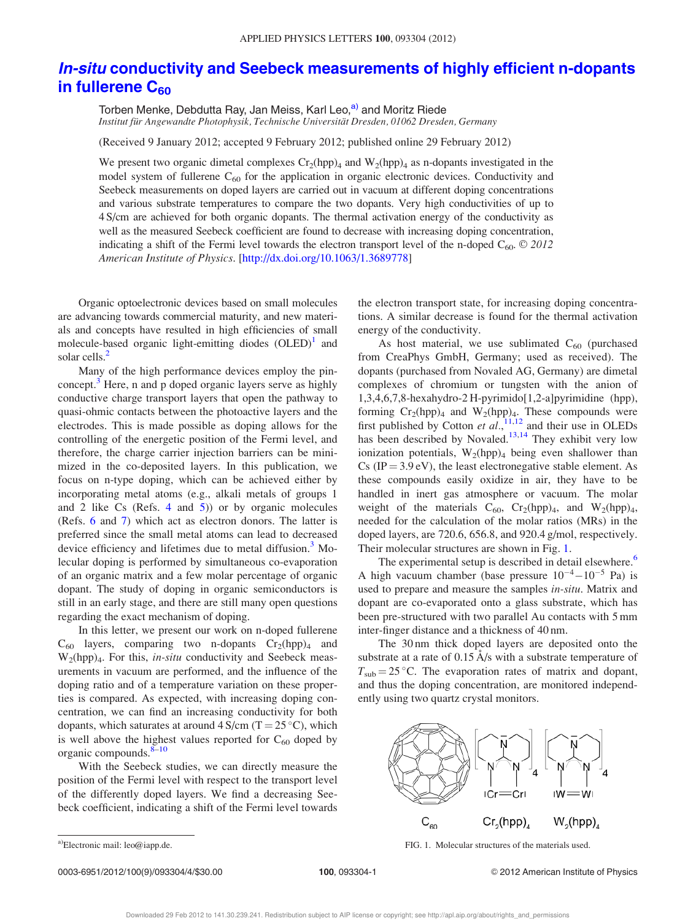## In-situ conductivity and Seebeck measurements of highly efficient n-dopants in fullerene  $C_{60}$

Torben Menke, Debdutta Ray, Jan Meiss, Karl Leo,<sup>a)</sup> and Moritz Riede Institut für Angewandte Photophysik, Technische Universität Dresden, 01062 Dresden, Germany

(Received 9 January 2012; accepted 9 February 2012; published online 29 February 2012)

We present two organic dimetal complexes  $Cr_2(hpp)_4$  and  $W_2(hpp)_4$  as n-dopants investigated in the model system of fullerene  $C_{60}$  for the application in organic electronic devices. Conductivity and Seebeck measurements on doped layers are carried out in vacuum at different doping concentrations and various substrate temperatures to compare the two dopants. Very high conductivities of up to 4 S/cm are achieved for both organic dopants. The thermal activation energy of the conductivity as well as the measured Seebeck coefficient are found to decrease with increasing doping concentration, indicating a shift of the Fermi level towards the electron transport level of the n-doped  $C_{60}$ . © 2012 American Institute of Physics. [http://dx.doi.org/10.1063/1.3689778]

Organic optoelectronic devices based on small molecules are advancing towards commercial maturity, and new materials and concepts have resulted in high efficiencies of small molecule-based organic light-emitting diodes  $(OLED)^1$  and solar cells.<sup>2</sup>

Many of the high performance devices employ the pinconcept. $3$  Here, n and p doped organic layers serve as highly conductive charge transport layers that open the pathway to quasi-ohmic contacts between the photoactive layers and the electrodes. This is made possible as doping allows for the controlling of the energetic position of the Fermi level, and therefore, the charge carrier injection barriers can be minimized in the co-deposited layers. In this publication, we focus on n-type doping, which can be achieved either by incorporating metal atoms (e.g., alkali metals of groups 1 and 2 like Cs (Refs.  $4$  and  $5$ )) or by organic molecules (Refs. 6 and 7) which act as electron donors. The latter is preferred since the small metal atoms can lead to decreased device efficiency and lifetimes due to metal diffusion.<sup>3</sup> Molecular doping is performed by simultaneous co-evaporation of an organic matrix and a few molar percentage of organic dopant. The study of doping in organic semiconductors is still in an early stage, and there are still many open questions regarding the exact mechanism of doping.

In this letter, we present our work on n-doped fullerene  $C_{60}$  layers, comparing two n-dopants  $Cr_2(hpp)_4$  and  $W_2(hpp)_4$ . For this, in-situ conductivity and Seebeck measurements in vacuum are performed, and the influence of the doping ratio and of a temperature variation on these properties is compared. As expected, with increasing doping concentration, we can find an increasing conductivity for both dopants, which saturates at around  $4 \text{ S/cm } (T = 25 \degree C)$ , which is well above the highest values reported for  $C_{60}$  doped by organic compounds.<sup>8–10</sup>

With the Seebeck studies, we can directly measure the position of the Fermi level with respect to the transport level of the differently doped layers. We find a decreasing Seebeck coefficient, indicating a shift of the Fermi level towards the electron transport state, for increasing doping concentrations. A similar decrease is found for the thermal activation energy of the conductivity.

As host material, we use sublimated  $C_{60}$  (purchased from CreaPhys GmbH, Germany; used as received). The dopants (purchased from Novaled AG, Germany) are dimetal complexes of chromium or tungsten with the anion of 1,3,4,6,7,8-hexahydro-2 H-pyrimido[1,2-a]pyrimidine (hpp), forming  $Cr_2(hpp)_4$  and  $W_2(hpp)_4$ . These compounds were first published by Cotton et  $al$ ,  $^{11,12}$  and their use in OLEDs has been described by Novaled.<sup>13,14</sup> They exhibit very low ionization potentials,  $W_2(hpp)_4$  being even shallower than  $Cs$  (IP = 3.9 eV), the least electronegative stable element. As these compounds easily oxidize in air, they have to be handled in inert gas atmosphere or vacuum. The molar weight of the materials  $C_{60}$ ,  $Cr_2(hpp)_4$ , and  $W_2(hpp)_4$ , needed for the calculation of the molar ratios (MRs) in the doped layers, are 720.6, 656.8, and 920.4 g/mol, respectively. Their molecular structures are shown in Fig. 1.

The experimental setup is described in detail elsewhere.<sup>6</sup> A high vacuum chamber (base pressure  $10^{-4} - 10^{-5}$  Pa) is used to prepare and measure the samples in-situ. Matrix and dopant are co-evaporated onto a glass substrate, which has been pre-structured with two parallel Au contacts with 5 mm inter-finger distance and a thickness of 40 nm.

The 30 nm thick doped layers are deposited onto the substrate at a rate of  $0.15 \text{ Å/s}$  with a substrate temperature of  $T_{sub} = 25$  °C. The evaporation rates of matrix and dopant, and thus the doping concentration, are monitored independently using two quartz crystal monitors.



a)Electronic mail: leo@iapp.de. **a)**Electronic mail: leo@iapp.de. **a)**Electronic mail: leo@iapp.de.

0003-6951/2012/100(9)/093304/4/\$30.00 100, 093304-1 © 2012 American Institute of Physics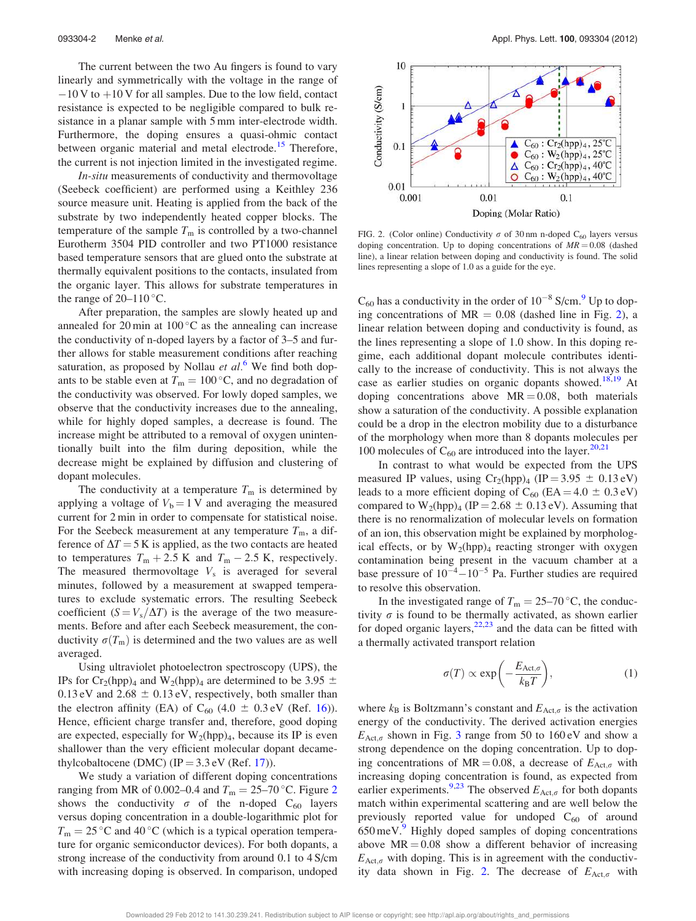The current between the two Au fingers is found to vary linearly and symmetrically with the voltage in the range of  $-10$  V to  $+10$  V for all samples. Due to the low field, contact resistance is expected to be negligible compared to bulk resistance in a planar sample with 5 mm inter-electrode width. Furthermore, the doping ensures a quasi-ohmic contact between organic material and metal electrode.<sup>15</sup> Therefore, the current is not injection limited in the investigated regime.

In-situ measurements of conductivity and thermovoltage (Seebeck coefficient) are performed using a Keithley 236 source measure unit. Heating is applied from the back of the substrate by two independently heated copper blocks. The temperature of the sample  $T<sub>m</sub>$  is controlled by a two-channel Eurotherm 3504 PID controller and two PT1000 resistance based temperature sensors that are glued onto the substrate at thermally equivalent positions to the contacts, insulated from the organic layer. This allows for substrate temperatures in the range of  $20-110$  °C.

After preparation, the samples are slowly heated up and annealed for 20 min at  $100\,^{\circ}\text{C}$  as the annealing can increase the conductivity of n-doped layers by a factor of 3–5 and further allows for stable measurement conditions after reaching saturation, as proposed by Nollau et  $al<sup>6</sup>$  We find both dopants to be stable even at  $T_m = 100\degree C$ , and no degradation of the conductivity was observed. For lowly doped samples, we observe that the conductivity increases due to the annealing, while for highly doped samples, a decrease is found. The increase might be attributed to a removal of oxygen unintentionally built into the film during deposition, while the decrease might be explained by diffusion and clustering of dopant molecules.

The conductivity at a temperature  $T<sub>m</sub>$  is determined by applying a voltage of  $V_b = 1$  V and averaging the measured current for 2 min in order to compensate for statistical noise. For the Seebeck measurement at any temperature  $T<sub>m</sub>$ , a difference of  $\Delta T = 5$  K is applied, as the two contacts are heated to temperatures  $T_m + 2.5$  K and  $T_m - 2.5$  K, respectively. The measured thermovoltage  $V_s$  is averaged for several minutes, followed by a measurement at swapped temperatures to exclude systematic errors. The resulting Seebeck coefficient  $(S = V_s/\Delta T)$  is the average of the two measurements. Before and after each Seebeck measurement, the conductivity  $\sigma(T_m)$  is determined and the two values are as well averaged.

Using ultraviolet photoelectron spectroscopy (UPS), the IPs for Cr<sub>2</sub>(hpp)<sub>4</sub> and W<sub>2</sub>(hpp)<sub>4</sub> are determined to be 3.95  $\pm$ 0.13 eV and  $2.68 \pm 0.13$  eV, respectively, both smaller than the electron affinity (EA) of  $C_{60}$  (4.0  $\pm$  0.3 eV (Ref. 16)). Hence, efficient charge transfer and, therefore, good doping are expected, especially for  $W_2(hpp)_4$ , because its IP is even shallower than the very efficient molecular dopant decamethylcobaltocene (DMC) (IP =  $3.3 \text{ eV}$  (Ref. 17)).

We study a variation of different doping concentrations ranging from MR of 0.002–0.4 and  $T_m = 25{\text -}70$  °C. Figure 2 shows the conductivity  $\sigma$  of the n-doped C<sub>60</sub> layers versus doping concentration in a double-logarithmic plot for  $T_{\rm m} = 25$  °C and 40 °C (which is a typical operation temperature for organic semiconductor devices). For both dopants, a strong increase of the conductivity from around 0.1 to 4 S/cm with increasing doping is observed. In comparison, undoped



FIG. 2. (Color online) Conductivity  $\sigma$  of 30 nm n-doped C<sub>60</sub> layers versus doping concentration. Up to doping concentrations of  $MR = 0.08$  (dashed line), a linear relation between doping and conductivity is found. The solid lines representing a slope of 1.0 as a guide for the eye.

 $C_{60}$  has a conductivity in the order of  $10^{-8}$  S/cm.<sup>9</sup> Up to doping concentrations of  $MR = 0.08$  (dashed line in Fig. 2), a linear relation between doping and conductivity is found, as the lines representing a slope of 1.0 show. In this doping regime, each additional dopant molecule contributes identically to the increase of conductivity. This is not always the case as earlier studies on organic dopants showed.<sup>18,19</sup> At doping concentrations above  $MR = 0.08$ , both materials show a saturation of the conductivity. A possible explanation could be a drop in the electron mobility due to a disturbance of the morphology when more than 8 dopants molecules per 100 molecules of  $C_{60}$  are introduced into the layer.<sup>20,21</sup>

In contrast to what would be expected from the UPS measured IP values, using  $Cr_2(hpp)_4$  (IP = 3.95  $\pm$  0.13 eV) leads to a more efficient doping of  $C_{60}$  (EA = 4.0  $\pm$  0.3 eV) compared to  $W_2(hpp)_4$  (IP = 2.68  $\pm$  0.13 eV). Assuming that there is no renormalization of molecular levels on formation of an ion, this observation might be explained by morphological effects, or by  $W_2(hpp)_4$  reacting stronger with oxygen contamination being present in the vacuum chamber at a base pressure of  $10^{-4} - 10^{-5}$  Pa. Further studies are required to resolve this observation.

In the investigated range of  $T_m = 25{\text -}70^{\circ}$ C, the conductivity  $\sigma$  is found to be thermally activated, as shown earlier for doped organic layers,  $22,23$  and the data can be fitted with a thermally activated transport relation

$$
\sigma(T) \propto \exp\left(-\frac{E_{\text{Act},\sigma}}{k_{\text{B}}T}\right),\tag{1}
$$

where  $k_B$  is Boltzmann's constant and  $E_{\text{Act},\sigma}$  is the activation energy of the conductivity. The derived activation energies  $E_{\text{Act},\sigma}$  shown in Fig. 3 range from 50 to 160 eV and show a strong dependence on the doping concentration. Up to doping concentrations of MR = 0.08, a decrease of  $E_{\text{Act},\sigma}$  with increasing doping concentration is found, as expected from earlier experiments.<sup>9,23</sup> The observed  $E_{\text{Act},\sigma}$  for both dopants match within experimental scattering and are well below the previously reported value for undoped  $C_{60}$  of around 650 meV.<sup>9</sup> Highly doped samples of doping concentrations above  $MR = 0.08$  show a different behavior of increasing  $E_{\text{Act},\sigma}$  with doping. This is in agreement with the conductivity data shown in Fig. 2. The decrease of  $E_{\text{Act},\sigma}$  with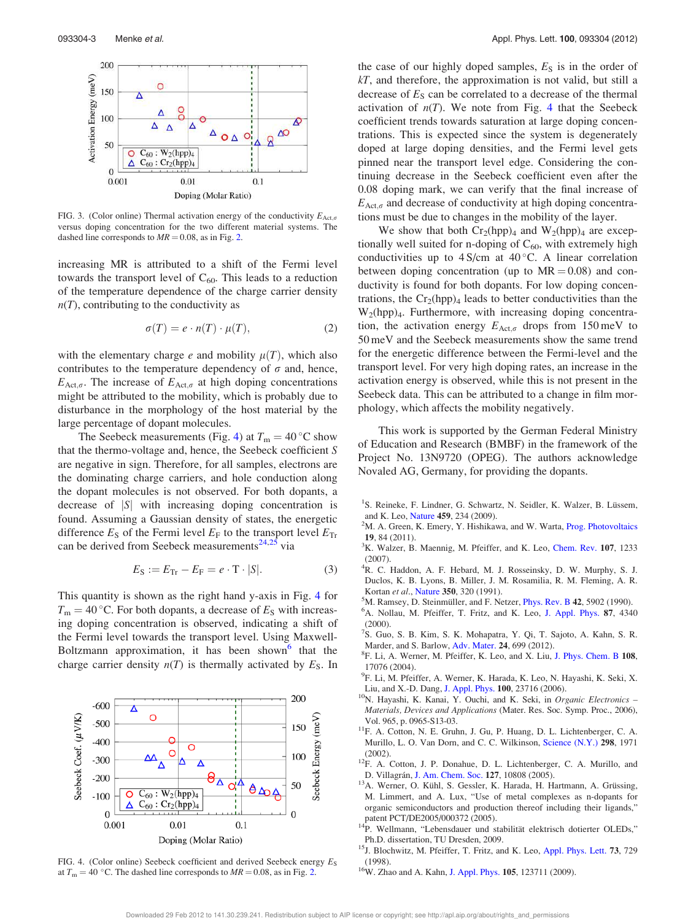

FIG. 3. (Color online) Thermal activation energy of the conductivity  $E_{\text{Act},\sigma}$ versus doping concentration for the two different material systems. The dashed line corresponds to  $MR = 0.08$ , as in Fig. 2.

increasing MR is attributed to a shift of the Fermi level towards the transport level of  $C_{60}$ . This leads to a reduction of the temperature dependence of the charge carrier density  $n(T)$ , contributing to the conductivity as

$$
\sigma(T) = e \cdot n(T) \cdot \mu(T), \tag{2}
$$

with the elementary charge e and mobility  $\mu(T)$ , which also contributes to the temperature dependency of  $\sigma$  and, hence,  $E_{\text{Act},\sigma}$ . The increase of  $E_{\text{Act},\sigma}$  at high doping concentrations might be attributed to the mobility, which is probably due to disturbance in the morphology of the host material by the large percentage of dopant molecules.

The Seebeck measurements (Fig. 4) at  $T_m = 40^{\circ}$ C show that the thermo-voltage and, hence, the Seebeck coefficient S are negative in sign. Therefore, for all samples, electrons are the dominating charge carriers, and hole conduction along the dopant molecules is not observed. For both dopants, a decrease of  $|S|$  with increasing doping concentration is found. Assuming a Gaussian density of states, the energetic difference  $E_S$  of the Fermi level  $E_F$  to the transport level  $E_{Tr}$ can be derived from Seebeck measurements<sup>24,25</sup> via

$$
E_S := E_{\text{Tr}} - E_{\text{F}} = e \cdot \text{T} \cdot |S|.
$$
 (3)

This quantity is shown as the right hand y-axis in Fig. 4 for  $T_{\rm m} = 40$  °C. For both dopants, a decrease of  $E_{\rm S}$  with increasing doping concentration is observed, indicating a shift of the Fermi level towards the transport level. Using Maxwell-Boltzmann approximation, it has been shown<sup>6</sup> that the charge carrier density  $n(T)$  is thermally activated by  $E<sub>S</sub>$ . In



FIG. 4. (Color online) Seebeck coefficient and derived Seebeck energy  $E_S$ at  $T_m = 40$  °C. The dashed line corresponds to  $MR = 0.08$ , as in Fig. 2.

the case of our highly doped samples,  $E<sub>S</sub>$  is in the order of  $kT$ , and therefore, the approximation is not valid, but still a decrease of  $E<sub>S</sub>$  can be correlated to a decrease of the thermal activation of  $n(T)$ . We note from Fig. 4 that the Seebeck coefficient trends towards saturation at large doping concentrations. This is expected since the system is degenerately doped at large doping densities, and the Fermi level gets pinned near the transport level edge. Considering the continuing decrease in the Seebeck coefficient even after the 0.08 doping mark, we can verify that the final increase of  $E_{\text{Act},\sigma}$  and decrease of conductivity at high doping concentrations must be due to changes in the mobility of the layer.

We show that both  $Cr_2(hpp)_4$  and  $W_2(hpp)_4$  are exceptionally well suited for n-doping of  $C_{60}$ , with extremely high conductivities up to  $4 S/cm$  at  $40 °C$ . A linear correlation between doping concentration (up to  $MR = 0.08$ ) and conductivity is found for both dopants. For low doping concentrations, the  $Cr_2(hpp)_4$  leads to better conductivities than the  $W_2(hpp)_4$ . Furthermore, with increasing doping concentration, the activation energy  $E_{\text{Act},\sigma}$  drops from 150 meV to 50 meV and the Seebeck measurements show the same trend for the energetic difference between the Fermi-level and the transport level. For very high doping rates, an increase in the activation energy is observed, while this is not present in the Seebeck data. This can be attributed to a change in film morphology, which affects the mobility negatively.

This work is supported by the German Federal Ministry of Education and Research (BMBF) in the framework of the Project No. 13N9720 (OPEG). The authors acknowledge Novaled AG, Germany, for providing the dopants.

- <sup>1</sup>S. Reineke, F. Lindner, G. Schwartz, N. Seidler, K. Walzer, B. Lüssem, and K. Leo, Nature 459, 234 (2009).
- <sup>2</sup>M. A. Green, K. Emery, Y. Hishikawa, and W. Warta, *Prog. Photovoltaics* 19, 84 (2011).
- ${}^{3}$ K. Walzer, B. Maennig, M. Pfeiffer, and K. Leo, Chem. Rev. 107, 1233 (2007).
- <sup>4</sup>R. C. Haddon, A. F. Hebard, M. J. Rosseinsky, D. W. Murphy, S. J. Duclos, K. B. Lyons, B. Miller, J. M. Rosamilia, R. M. Fleming, A. R. Kortan et al., Nature 350, 320 (1991).
- $^5$ M. Ramsey, D. Steinmüller, and F. Netzer, *Phys. Rev. B* 42, 5902 (1990). <sup>6</sup>A. Nollau, M. Pfeiffer, T. Fritz, and K. Leo, J. Appl. Phys. 87, 4340
- (2000). 7 S. Guo, S. B. Kim, S. K. Mohapatra, Y. Qi, T. Sajoto, A. Kahn, S. R. Marder, and S. Barlow, Adv. Mater. 24, 699 (2012).
- 8 F. Li, A. Werner, M. Pfeiffer, K. Leo, and X. Liu, J. Phys. Chem. B 108, 17076 (2004).
- 9 F. Li, M. Pfeiffer, A. Werner, K. Harada, K. Leo, N. Hayashi, K. Seki, X. Liu, and X.-D. Dang, J. Appl. Phys. 100, 23716 (2006).
- <sup>10</sup>N. Hayashi, K. Kanai, Y. Ouchi, and K. Seki, in Organic Electronics -Materials, Devices and Applications (Mater. Res. Soc. Symp. Proc., 2006), Vol. 965, p. 0965-S13-03.
- <sup>11</sup>F. A. Cotton, N. E. Gruhn, J. Gu, P. Huang, D. L. Lichtenberger, C. A. Murillo, L. O. Van Dorn, and C. C. Wilkinson, Science (N.Y.) 298, 1971 (2002).
- <sup>12</sup>F. A. Cotton, J. P. Donahue, D. L. Lichtenberger, C. A. Murillo, and D. Villagrán, J. Am. Chem. Soc. 127, 10808 (2005).
- <sup>13</sup>A. Werner, O. Kühl, S. Gessler, K. Harada, H. Hartmann, A. Grüssing, M. Limmert, and A. Lux, "Use of metal complexes as n-dopants for organic semiconductors and production thereof including their ligands," patent PCT/DE2005/000372 (2005).
- <sup>14</sup>P. Wellmann, "Lebensdauer und stabilität elektrisch dotierter OLEDs," Ph.D. dissertation, TU Dresden, 2009.
- <sup>15</sup>J. Blochwitz, M. Pfeiffer, T. Fritz, and K. Leo, Appl. Phys. Lett. 73, 729 (1998).
- <sup>16</sup>W. Zhao and A. Kahn, J. Appl. Phys. **105**, 123711 (2009).